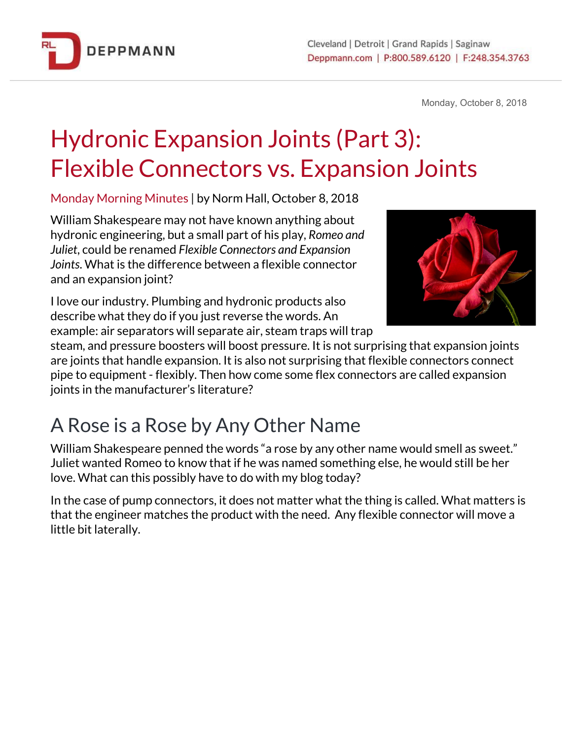

Monday, October 8, 2018

## Hydronic Expansion Joints (Part 3): Flexible Connectors vs. Expansion Joints

Monday Morning Minutes | by Norm Hall, October 8, 2018

William Shakespeare may not have known anything about hydronic engineering, but a small part of his play, *Romeo and Juliet*, could be renamed *Flexible Connectors and Expansion Joints*. What is the difference between a flexible connector and an expansion joint?



I love our industry. Plumbing and hydronic products also describe what they do if you just reverse the words. An example: air separators will separate air, steam traps will trap

steam, and pressure boosters will boost pressure. It is not surprising that expansion joints are joints that handle expansion. It is also not surprising that flexible connectors connect pipe to equipment - flexibly. Then how come some flex connectors are called expansion joints in the manufacturer's literature?

## A Rose is a Rose by Any Other Name

William Shakespeare penned the words "a rose by any other name would smell as sweet." Juliet wanted Romeo to know that if he was named something else, he would still be her love. What can this possibly have to do with my blog today?

In the case of pump connectors, it does not matter what the thing is called. What matters is that the engineer matches the product with the need. Any flexible connector will move a little bit laterally.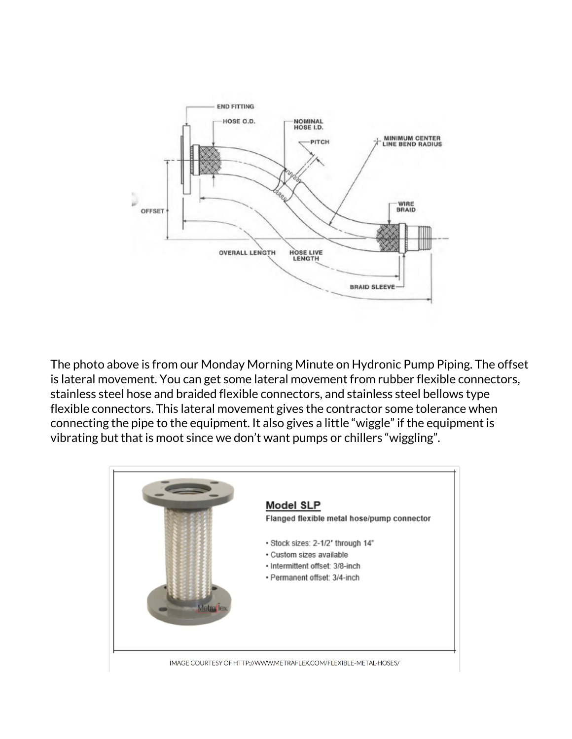

The photo above is from our Monday Morning Minute on Hydronic Pump Piping. The offset is lateral movement. You can get some lateral movement from rubber flexible connectors, stainless steel hose and braided flexible connectors, and stainless steel bellows type flexible connectors. This lateral movement gives the contractor some tolerance when connecting the pipe to the equipment. It also gives a little "wiggle" if the equipment is vibrating but that is moot since we don't want pumps or chillers "wiggling".

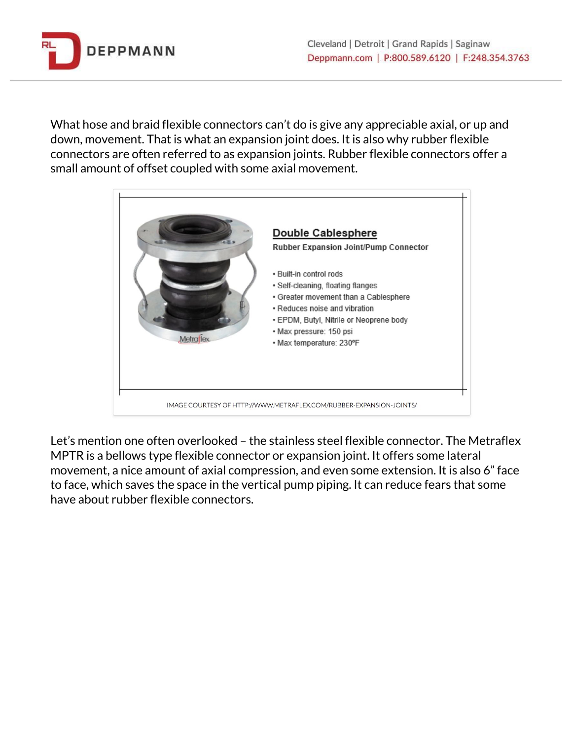

What hose and braid flexible connectors can't do is give any appreciable axial, or up and down, movement. That is what an expansion joint does. It is also why rubber flexible connectors are often referred to as expansion joints. Rubber flexible connectors offer a small amount of offset coupled with some axial movement.



Let's mention one often overlooked – the stainless steel flexible connector. The Metraflex MPTR is a bellows type flexible connector or expansion joint. It offers some lateral movement, a nice amount of axial compression, and even some extension. It is also 6" face to face, which saves the space in the vertical pump piping. It can reduce fears that some have about rubber flexible connectors.